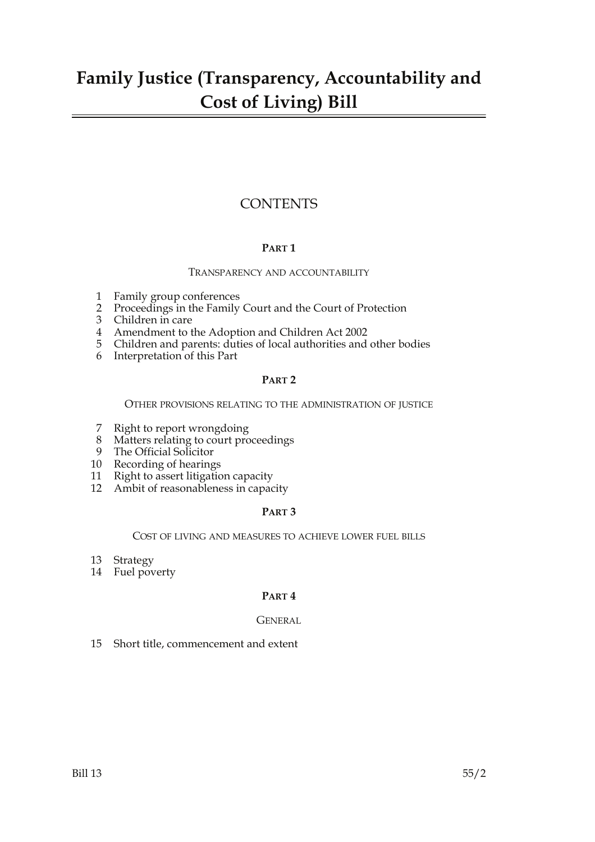# **Family Justice (Transparency, Accountability and Cost of Living) Bill**

# **CONTENTS**

# **PART 1**

### TRANSPARENCY AND ACCOUNTABILITY

- 1 Family group conferences
- 2 Proceedings in the Family Court and the Court of Protection
- 3 Children in care
- 4 Amendment to the Adoption and Children Act 2002
- 5 Children and parents: duties of local authorities and other bodies
- 6 Interpretation of this Part

# **PART 2**

OTHER PROVISIONS RELATING TO THE ADMINISTRATION OF JUSTICE

- 7 Right to report wrongdoing
- 8 Matters relating to court proceedings
- 9 The Official Solicitor
- 10 Recording of hearings
- 11 Right to assert litigation capacity
- 12 Ambit of reasonableness in capacity

# **PART 3**

### COST OF LIVING AND MEASURES TO ACHIEVE LOWER FUEL BILLS

- 13 Strategy
- 14 Fuel poverty

# **PART 4**

# GENERAL

15 Short title, commencement and extent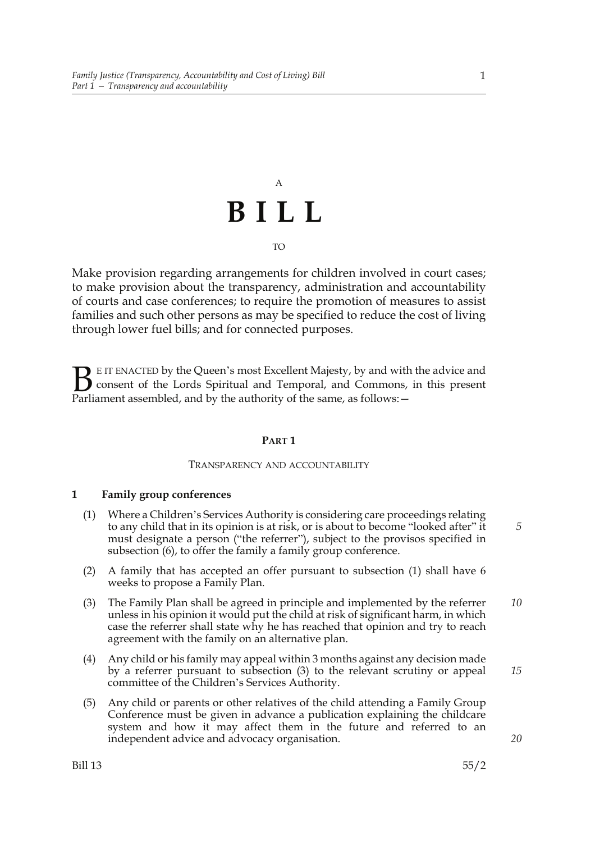# A **BILL** TO

Make provision regarding arrangements for children involved in court cases; to make provision about the transparency, administration and accountability of courts and case conferences; to require the promotion of measures to assist families and such other persons as may be specified to reduce the cost of living through lower fuel bills; and for connected purposes.

E IT ENACTED by the Queen's most Excellent Majesty, by and with the advice and consent of the Lords Spiritual and Temporal, and Commons, in this present **B** E IT ENACTED by the Queen's most Excellent Majesty, by and with consent of the Lords Spiritual and Temporal, and Commons, Parliament assembled, and by the authority of the same, as follows:  $-$ 

### **PART 1**

### TRANSPARENCY AND ACCOUNTABILITY

## **1 Family group conferences**

- (1) Where a Children's Services Authority is considering care proceedings relating to any child that in its opinion is at risk, or is about to become "looked after" it must designate a person ("the referrer"), subject to the provisos specified in subsection (6), to offer the family a family group conference.
- (2) A family that has accepted an offer pursuant to subsection (1) shall have 6 weeks to propose a Family Plan.
- (3) The Family Plan shall be agreed in principle and implemented by the referrer unless in his opinion it would put the child at risk of significant harm, in which case the referrer shall state why he has reached that opinion and try to reach agreement with the family on an alternative plan. *10*
- (4) Any child or his family may appeal within 3 months against any decision made by a referrer pursuant to subsection (3) to the relevant scrutiny or appeal committee of the Children's Services Authority.
- (5) Any child or parents or other relatives of the child attending a Family Group Conference must be given in advance a publication explaining the childcare system and how it may affect them in the future and referred to an independent advice and advocacy organisation.

1

*5*

*15*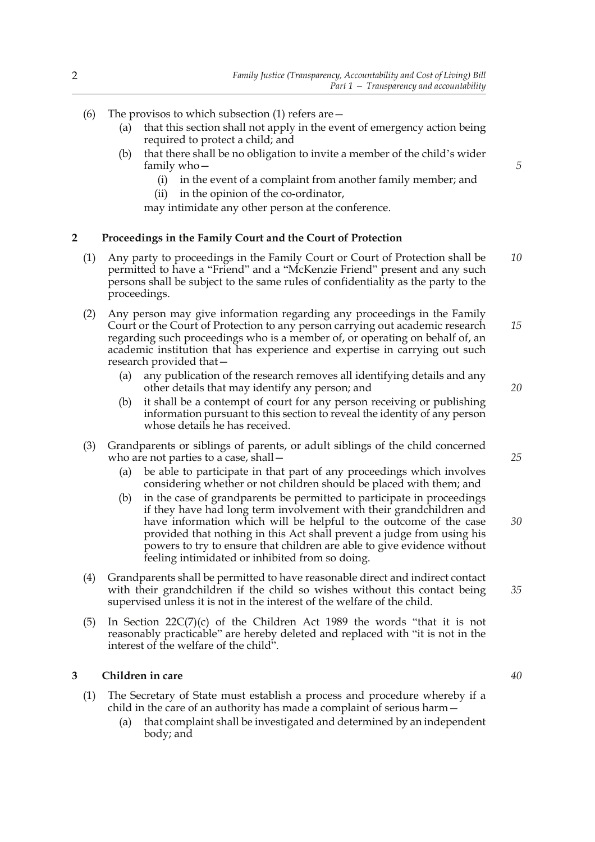- (6) The provisos to which subsection (1) refers are  $-$ 
	- (a) that this section shall not apply in the event of emergency action being required to protect a child; and
	- (b) that there shall be no obligation to invite a member of the child's wider family who—
		- (i) in the event of a complaint from another family member; and
		- (ii) in the opinion of the co-ordinator,
		- may intimidate any other person at the conference.

### **2 Proceedings in the Family Court and the Court of Protection**

- (1) Any party to proceedings in the Family Court or Court of Protection shall be permitted to have a "Friend" and a "McKenzie Friend" present and any such persons shall be subject to the same rules of confidentiality as the party to the proceedings. *10*
- (2) Any person may give information regarding any proceedings in the Family Court or the Court of Protection to any person carrying out academic research regarding such proceedings who is a member of, or operating on behalf of, an academic institution that has experience and expertise in carrying out such research provided that— *15*
	- (a) any publication of the research removes all identifying details and any other details that may identify any person; and
	- (b) it shall be a contempt of court for any person receiving or publishing information pursuant to this section to reveal the identity of any person whose details he has received.
- (3) Grandparents or siblings of parents, or adult siblings of the child concerned who are not parties to a case, shall—
	- (a) be able to participate in that part of any proceedings which involves considering whether or not children should be placed with them; and
	- (b) in the case of grandparents be permitted to participate in proceedings if they have had long term involvement with their grandchildren and have information which will be helpful to the outcome of the case provided that nothing in this Act shall prevent a judge from using his powers to try to ensure that children are able to give evidence without feeling intimidated or inhibited from so doing.
- (4) Grandparents shall be permitted to have reasonable direct and indirect contact with their grandchildren if the child so wishes without this contact being supervised unless it is not in the interest of the welfare of the child.
- (5) In Section  $22C(7)(c)$  of the Children Act 1989 the words "that it is not reasonably practicable" are hereby deleted and replaced with "it is not in the interest of the welfare of the child".

# **3 Children in care**

- (1) The Secretary of State must establish a process and procedure whereby if a child in the care of an authority has made a complaint of serious harm—
	- (a) that complaint shall be investigated and determined by an independent body; and

*5*

*20*

*25*

*30*

*35*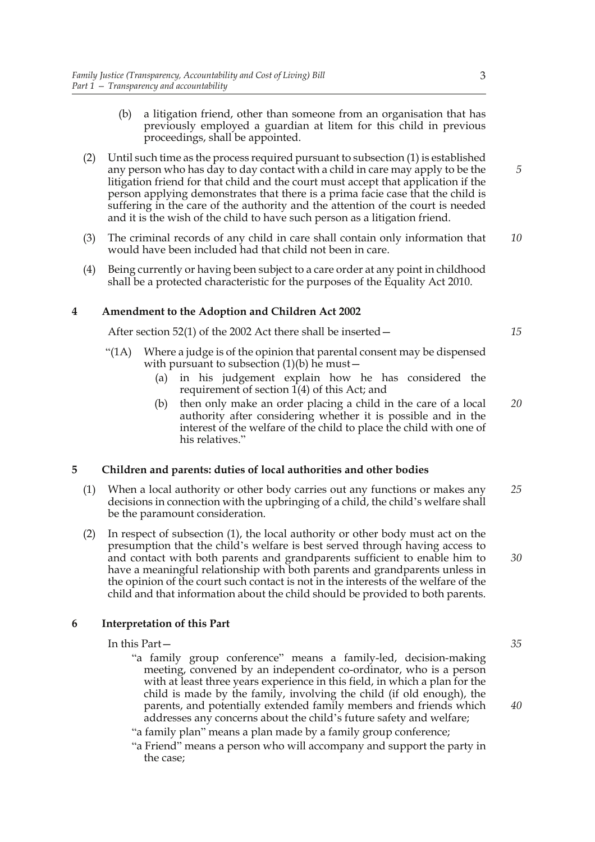- (b) a litigation friend, other than someone from an organisation that has previously employed a guardian at litem for this child in previous proceedings, shall be appointed.
- (2) Until such time as the process required pursuant to subsection (1) is established any person who has day to day contact with a child in care may apply to be the litigation friend for that child and the court must accept that application if the person applying demonstrates that there is a prima facie case that the child is suffering in the care of the authority and the attention of the court is needed and it is the wish of the child to have such person as a litigation friend.
- (3) The criminal records of any child in care shall contain only information that would have been included had that child not been in care. *10*
- (4) Being currently or having been subject to a care order at any point in childhood shall be a protected characteristic for the purposes of the Equality Act 2010.

### **4 Amendment to the Adoption and Children Act 2002**

After section 52(1) of the 2002 Act there shall be inserted—

- "(1A) Where a judge is of the opinion that parental consent may be dispensed with pursuant to subsection  $(1)(b)$  he must –
	- (a) in his judgement explain how he has considered the requirement of section 1(4) of this Act; and
	- (b) then only make an order placing a child in the care of a local authority after considering whether it is possible and in the interest of the welfare of the child to place the child with one of his relatives." *20*

#### **5 Children and parents: duties of local authorities and other bodies**

- (1) When a local authority or other body carries out any functions or makes any decisions in connection with the upbringing of a child, the child's welfare shall be the paramount consideration. *25*
- (2) In respect of subsection (1), the local authority or other body must act on the presumption that the child's welfare is best served through having access to and contact with both parents and grandparents sufficient to enable him to have a meaningful relationship with both parents and grandparents unless in the opinion of the court such contact is not in the interests of the welfare of the child and that information about the child should be provided to both parents.

### **6 Interpretation of this Part**

In this Part—

"a family group conference" means a family-led, decision-making meeting, convened by an independent co-ordinator, who is a person with at least three years experience in this field, in which a plan for the child is made by the family, involving the child (if old enough), the parents, and potentially extended family members and friends which addresses any concerns about the child's future safety and welfare;

"a family plan" means a plan made by a family group conference;

"a Friend" means a person who will accompany and support the party in the case;

*30*

*35*

*40*

*5*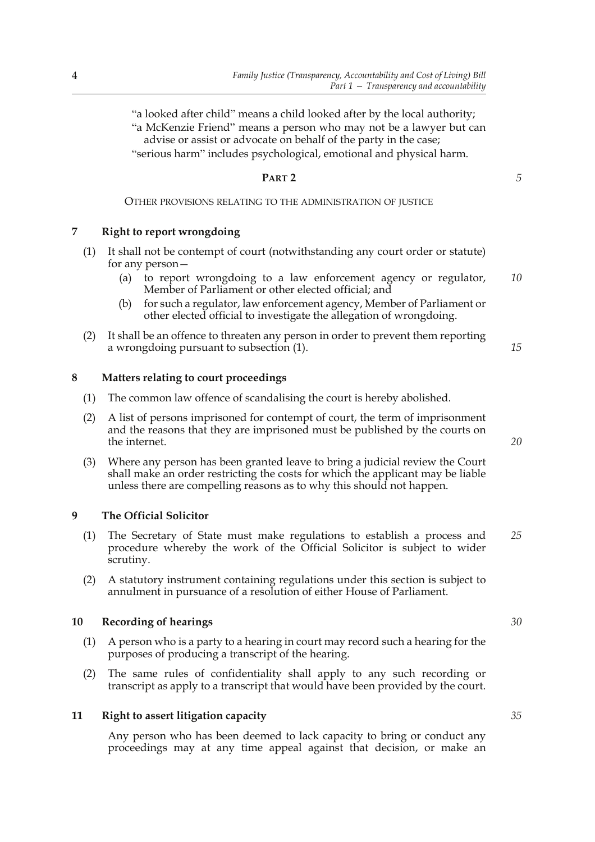"a looked after child" means a child looked after by the local authority; "a McKenzie Friend" means a person who may not be a lawyer but can advise or assist or advocate on behalf of the party in the case; "serious harm" includes psychological, emotional and physical harm.

## **PART 2**

OTHER PROVISIONS RELATING TO THE ADMINISTRATION OF JUSTICE

### **7 Right to report wrongdoing**

- (1) It shall not be contempt of court (notwithstanding any court order or statute) for any person—
	- (a) to report wrongdoing to a law enforcement agency or regulator, Member of Parliament or other elected official; and *10*
	- (b) for such a regulator, law enforcement agency, Member of Parliament or other elected official to investigate the allegation of wrongdoing.
- (2) It shall be an offence to threaten any person in order to prevent them reporting a wrongdoing pursuant to subsection (1).

#### **8 Matters relating to court proceedings**

- (1) The common law offence of scandalising the court is hereby abolished.
- (2) A list of persons imprisoned for contempt of court, the term of imprisonment and the reasons that they are imprisoned must be published by the courts on the internet.
- (3) Where any person has been granted leave to bring a judicial review the Court shall make an order restricting the costs for which the applicant may be liable unless there are compelling reasons as to why this should not happen.

### **9 The Official Solicitor**

- (1) The Secretary of State must make regulations to establish a process and procedure whereby the work of the Official Solicitor is subject to wider scrutiny. *25*
- (2) A statutory instrument containing regulations under this section is subject to annulment in pursuance of a resolution of either House of Parliament.

#### **10 Recording of hearings**

- (1) A person who is a party to a hearing in court may record such a hearing for the purposes of producing a transcript of the hearing.
- (2) The same rules of confidentiality shall apply to any such recording or transcript as apply to a transcript that would have been provided by the court.

#### **11 Right to assert litigation capacity**

Any person who has been deemed to lack capacity to bring or conduct any proceedings may at any time appeal against that decision, or make an *20*

*15*

*30*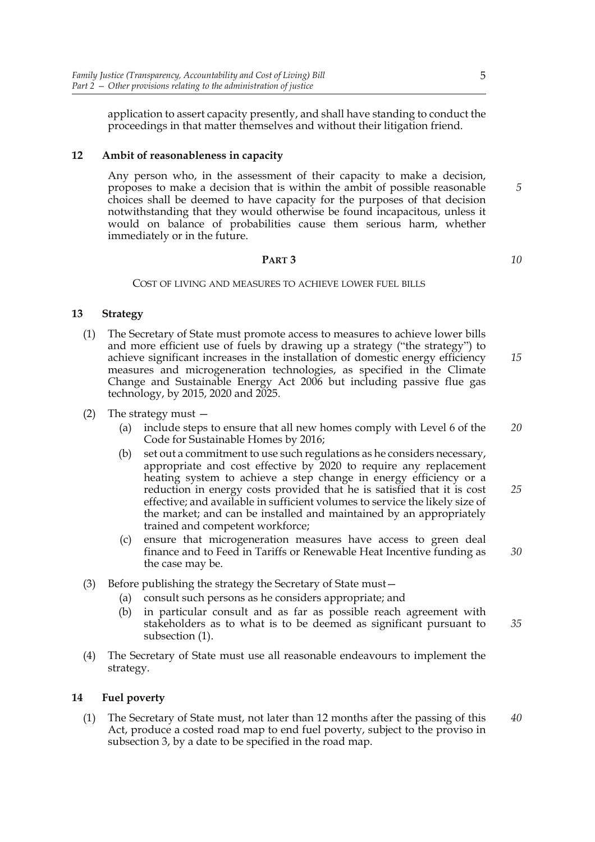application to assert capacity presently, and shall have standing to conduct the proceedings in that matter themselves and without their litigation friend.

## **12 Ambit of reasonableness in capacity**

Any person who, in the assessment of their capacity to make a decision, proposes to make a decision that is within the ambit of possible reasonable choices shall be deemed to have capacity for the purposes of that decision notwithstanding that they would otherwise be found incapacitous, unless it would on balance of probabilities cause them serious harm, whether immediately or in the future.

#### **PART 3**

#### COST OF LIVING AND MEASURES TO ACHIEVE LOWER FUEL BILLS

### **13 Strategy**

- (1) The Secretary of State must promote access to measures to achieve lower bills and more efficient use of fuels by drawing up a strategy ("the strategy") to achieve significant increases in the installation of domestic energy efficiency measures and microgeneration technologies, as specified in the Climate Change and Sustainable Energy Act 2006 but including passive flue gas technology, by 2015, 2020 and 2025. *15*
- (2) The strategy must
	- (a) include steps to ensure that all new homes comply with Level 6 of the Code for Sustainable Homes by 2016; *20*
	- (b) set out a commitment to use such regulations as he considers necessary, appropriate and cost effective by 2020 to require any replacement heating system to achieve a step change in energy efficiency or a reduction in energy costs provided that he is satisfied that it is cost effective; and available in sufficient volumes to service the likely size of the market; and can be installed and maintained by an appropriately trained and competent workforce;
	- (c) ensure that microgeneration measures have access to green deal finance and to Feed in Tariffs or Renewable Heat Incentive funding as the case may be.
- (3) Before publishing the strategy the Secretary of State must—
	- (a) consult such persons as he considers appropriate; and
	- (b) in particular consult and as far as possible reach agreement with stakeholders as to what is to be deemed as significant pursuant to subsection (1). *35*
- (4) The Secretary of State must use all reasonable endeavours to implement the strategy.

#### **14 Fuel poverty**

(1) The Secretary of State must, not later than 12 months after the passing of this Act, produce a costed road map to end fuel poverty, subject to the proviso in subsection 3, by a date to be specified in the road map. *40*

*5*

*10*

*25*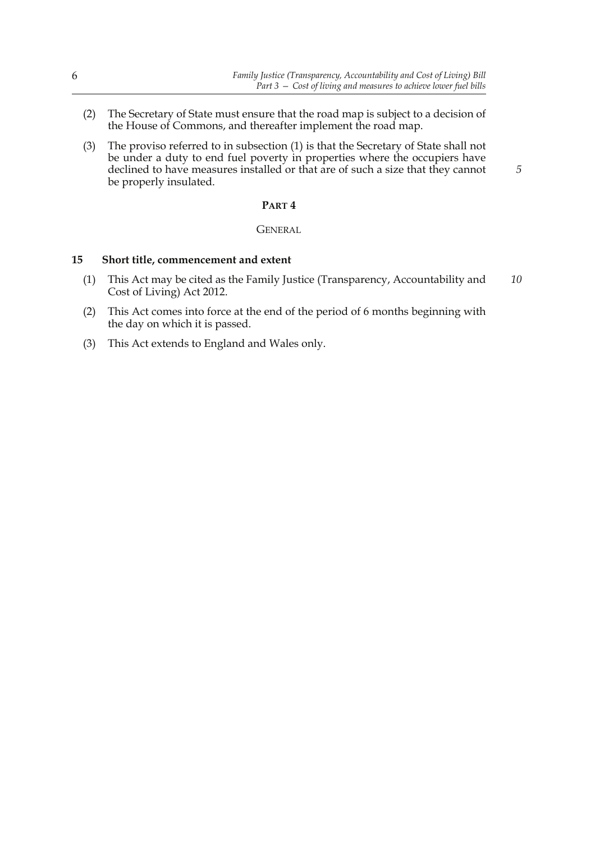*5*

- (2) The Secretary of State must ensure that the road map is subject to a decision of the House of Commons, and thereafter implement the road map.
- (3) The proviso referred to in subsection (1) is that the Secretary of State shall not be under a duty to end fuel poverty in properties where the occupiers have declined to have measures installed or that are of such a size that they cannot be properly insulated.

#### **PART 4**

#### **GENERAL**

#### **15 Short title, commencement and extent**

- (1) This Act may be cited as the Family Justice (Transparency, Accountability and Cost of Living) Act 2012. *10*
- (2) This Act comes into force at the end of the period of 6 months beginning with the day on which it is passed.
- (3) This Act extends to England and Wales only.